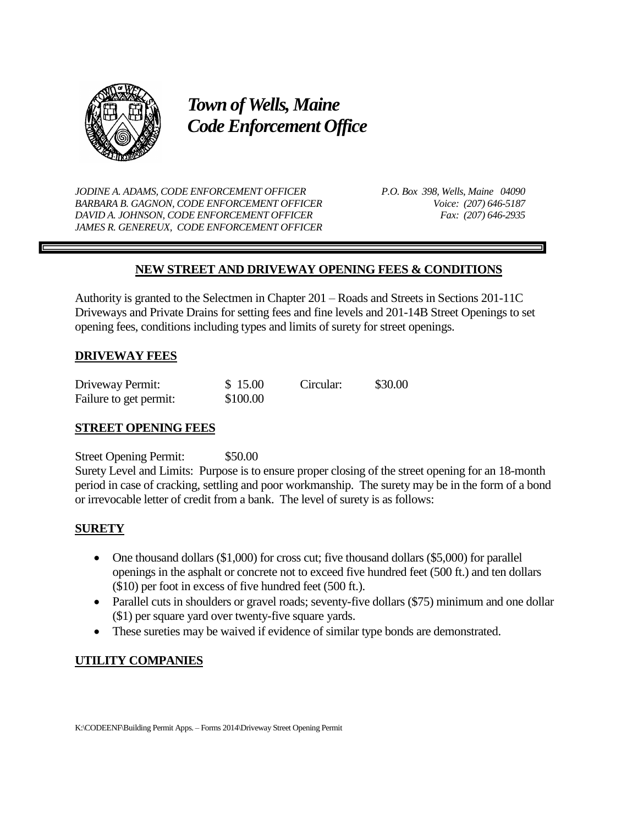

*Town of Wells, Maine Code Enforcement Office*

*JODINE A. ADAMS, CODE ENFORCEMENT OFFICER P.O. Box 398, Wells, Maine 04090 BARBARA B. GAGNON, CODE ENFORCEMENT OFFICER Voice: (207) 646-5187 DAVID A. JOHNSON, CODE ENFORCEMENT OFFICER Fax: (207) 646-2935 JAMES R. GENEREUX, CODE ENFORCEMENT OFFICER*

# **NEW STREET AND DRIVEWAY OPENING FEES & CONDITIONS**

Authority is granted to the Selectmen in Chapter 201 – Roads and Streets in Sections 201-11C Driveways and Private Drains for setting fees and fine levels and 201-14B Street Openings to set opening fees, conditions including types and limits of surety for street openings.

## **DRIVEWAY FEES**

| Driveway Permit:       | \$15.00  | Circular: | \$30.00 |
|------------------------|----------|-----------|---------|
| Failure to get permit: | \$100.00 |           |         |

### **STREET OPENING FEES**

Street Opening Permit: \$50.00

Surety Level and Limits: Purpose is to ensure proper closing of the street opening for an 18-month period in case of cracking, settling and poor workmanship. The surety may be in the form of a bond or irrevocable letter of credit from a bank. The level of surety is as follows:

### **SURETY**

- One thousand dollars (\$1,000) for cross cut; five thousand dollars (\$5,000) for parallel openings in the asphalt or concrete not to exceed five hundred feet (500 ft.) and ten dollars (\$10) per foot in excess of five hundred feet (500 ft.).
- Parallel cuts in shoulders or gravel roads; seventy-five dollars (\$75) minimum and one dollar (\$1) per square yard over twenty-five square yards.
- These sureties may be waived if evidence of similar type bonds are demonstrated.

## **UTILITY COMPANIES**

K:\CODEENF\Building Permit Apps. – Forms 2014\Driveway Street Opening Permit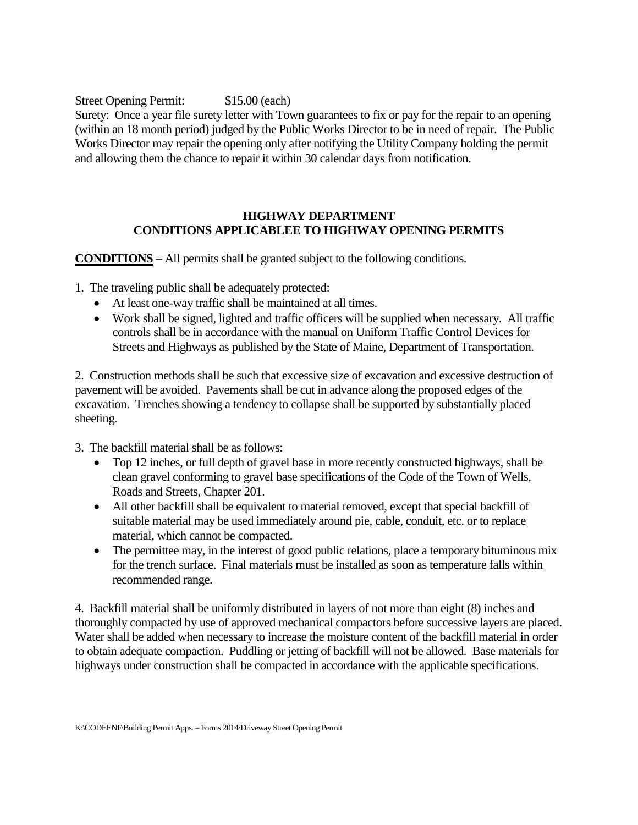Street Opening Permit: \$15.00 (each) Surety: Once a year file surety letter with Town guarantees to fix or pay for the repair to an opening (within an 18 month period) judged by the Public Works Director to be in need of repair. The Public Works Director may repair the opening only after notifying the Utility Company holding the permit and allowing them the chance to repair it within 30 calendar days from notification.

## **HIGHWAY DEPARTMENT CONDITIONS APPLICABLEE TO HIGHWAY OPENING PERMITS**

**CONDITIONS** – All permits shall be granted subject to the following conditions.

1. The traveling public shall be adequately protected:

- At least one-way traffic shall be maintained at all times.
- Work shall be signed, lighted and traffic officers will be supplied when necessary. All traffic controls shall be in accordance with the manual on Uniform Traffic Control Devices for Streets and Highways as published by the State of Maine, Department of Transportation.

2. Construction methods shall be such that excessive size of excavation and excessive destruction of pavement will be avoided. Pavements shall be cut in advance along the proposed edges of the excavation. Trenches showing a tendency to collapse shall be supported by substantially placed sheeting.

3. The backfill material shall be as follows:

- Top 12 inches, or full depth of gravel base in more recently constructed highways, shall be clean gravel conforming to gravel base specifications of the Code of the Town of Wells, Roads and Streets, Chapter 201.
- All other backfill shall be equivalent to material removed, except that special backfill of suitable material may be used immediately around pie, cable, conduit, etc. or to replace material, which cannot be compacted.
- The permittee may, in the interest of good public relations, place a temporary bituminous mix for the trench surface. Final materials must be installed as soon as temperature falls within recommended range.

4. Backfill material shall be uniformly distributed in layers of not more than eight (8) inches and thoroughly compacted by use of approved mechanical compactors before successive layers are placed. Water shall be added when necessary to increase the moisture content of the backfill material in order to obtain adequate compaction. Puddling or jetting of backfill will not be allowed. Base materials for highways under construction shall be compacted in accordance with the applicable specifications.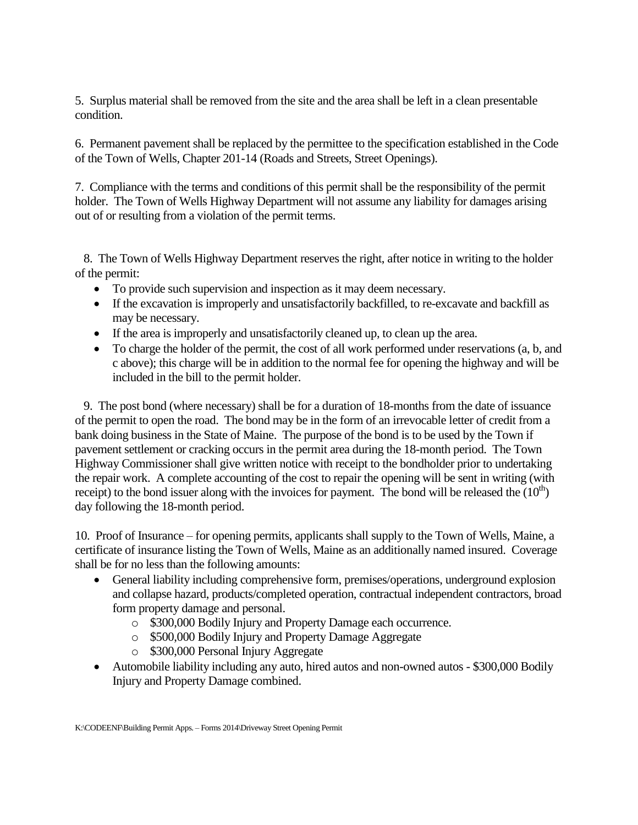5. Surplus material shall be removed from the site and the area shall be left in a clean presentable condition.

6. Permanent pavement shall be replaced by the permittee to the specification established in the Code of the Town of Wells, Chapter 201-14 (Roads and Streets, Street Openings).

7. Compliance with the terms and conditions of this permit shall be the responsibility of the permit holder. The Town of Wells Highway Department will not assume any liability for damages arising out of or resulting from a violation of the permit terms.

 8. The Town of Wells Highway Department reserves the right, after notice in writing to the holder of the permit:

- To provide such supervision and inspection as it may deem necessary.
- If the excavation is improperly and unsatisfactorily backfilled, to re-excavate and backfill as may be necessary.
- If the area is improperly and unsatisfactorily cleaned up, to clean up the area.
- To charge the holder of the permit, the cost of all work performed under reservations (a, b, and c above); this charge will be in addition to the normal fee for opening the highway and will be included in the bill to the permit holder.

 9. The post bond (where necessary) shall be for a duration of 18-months from the date of issuance of the permit to open the road. The bond may be in the form of an irrevocable letter of credit from a bank doing business in the State of Maine. The purpose of the bond is to be used by the Town if pavement settlement or cracking occurs in the permit area during the 18-month period. The Town Highway Commissioner shall give written notice with receipt to the bondholder prior to undertaking the repair work. A complete accounting of the cost to repair the opening will be sent in writing (with receipt) to the bond issuer along with the invoices for payment. The bond will be released the  $(10<sup>th</sup>)$ day following the 18-month period.

10. Proof of Insurance – for opening permits, applicants shall supply to the Town of Wells, Maine, a certificate of insurance listing the Town of Wells, Maine as an additionally named insured. Coverage shall be for no less than the following amounts:

- General liability including comprehensive form, premises/operations, underground explosion and collapse hazard, products/completed operation, contractual independent contractors, broad form property damage and personal.
	- o \$300,000 Bodily Injury and Property Damage each occurrence.
	- o \$500,000 Bodily Injury and Property Damage Aggregate
	- o \$300,000 Personal Injury Aggregate
- Automobile liability including any auto, hired autos and non-owned autos \$300,000 Bodily Injury and Property Damage combined.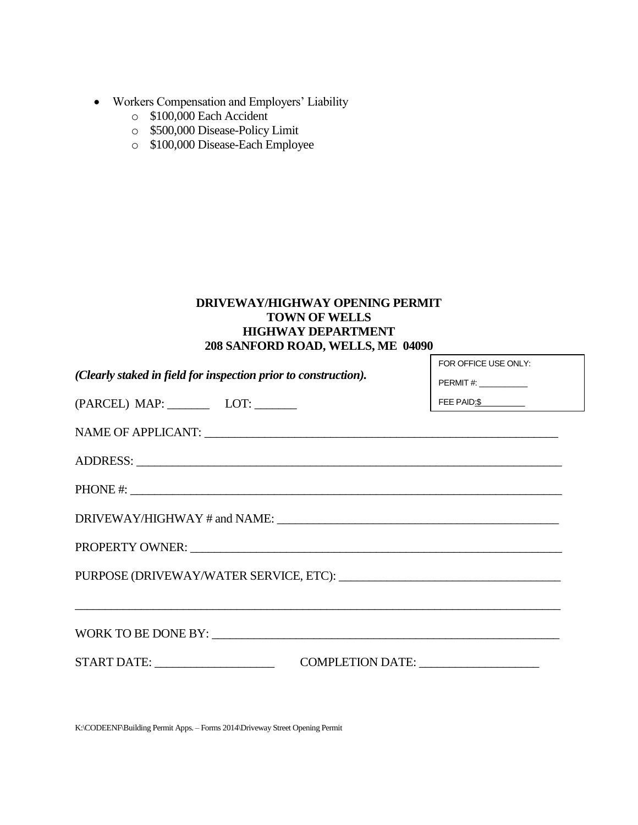- Workers Compensation and Employers' Liability
	- o \$100,000 Each Accident
	- o \$500,000 Disease-Policy Limit
	- o \$100,000 Disease-Each Employee

## **DRIVEWAY/HIGHWAY OPENING PERMIT TOWN OF WELLS HIGHWAY DEPARTMENT 208 SANFORD ROAD, WELLS, ME 04090**

| (Clearly staked in field for inspection prior to construction).<br>PERMIT#: ____________<br>FEE PAID: $\frac{\ }{\ }$<br>(PARCEL) MAP: LOT: | FOR OFFICE USE ONLY: |  |
|---------------------------------------------------------------------------------------------------------------------------------------------|----------------------|--|
|                                                                                                                                             |                      |  |
|                                                                                                                                             |                      |  |
|                                                                                                                                             |                      |  |
|                                                                                                                                             |                      |  |
|                                                                                                                                             |                      |  |
|                                                                                                                                             |                      |  |
|                                                                                                                                             |                      |  |
|                                                                                                                                             |                      |  |
|                                                                                                                                             |                      |  |
| COMPLETION DATE:                                                                                                                            |                      |  |

K:\CODEENF\Building Permit Apps. – Forms 2014\Driveway Street Opening Permit